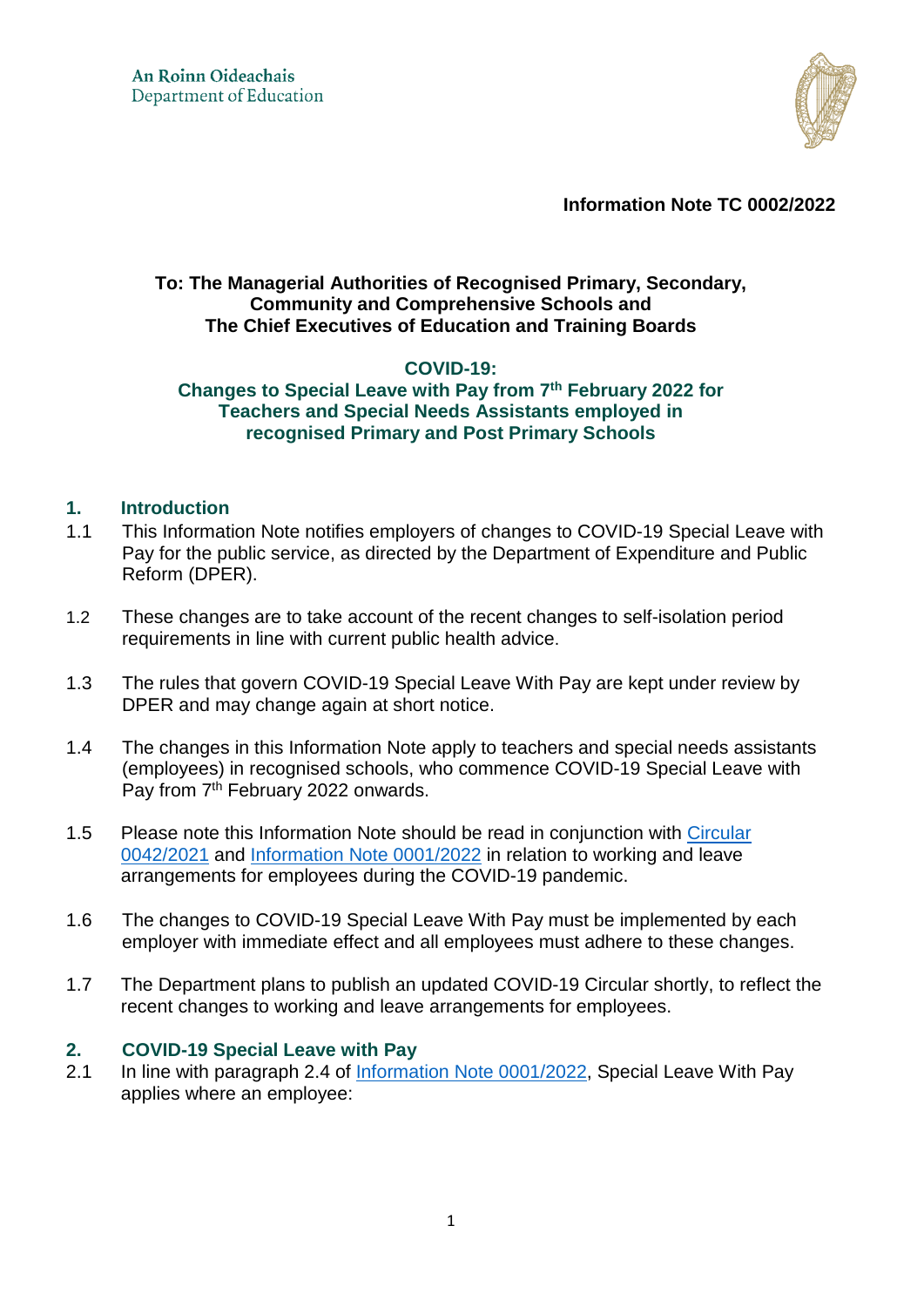

**Information Note TC 0002/2022** 

### **To: The Managerial Authorities of Recognised Primary, Secondary, Community and Comprehensive Schools and The Chief Executives of Education and Training Boards**

# **COVID-19:**

### **Changes to Special Leave with Pay from 7th February 2022 for Teachers and Special Needs Assistants employed in recognised Primary and Post Primary Schools**

### **1. Introduction**

- 1.1 This Information Note notifies employers of changes to COVID-19 Special Leave with Pay for the public service, as directed by the Department of Expenditure and Public Reform (DPER).
- 1.2 These changes are to take account of the recent changes to self-isolation period requirements in line with current public health advice.
- 1.3 The rules that govern COVID-19 Special Leave With Pay are kept under review by DPER and may change again at short notice.
- 1.4 The changes in this Information Note apply to teachers and special needs assistants (employees) in recognised schools, who commence COVID-19 Special Leave with Pay from 7<sup>th</sup> February 2022 onwards.
- 1.5 Please note this Information Note should be read in conjunction with Circular [0042/2021](https://www.gov.ie/en/circular/b4832-coronavirus-covid-19-arrangements-for-teachers-and-special-needs-assistants-employed-in-recognised-primary-and-post-primary-schools/) and [Information Note 0001/2022](https://www.gov.ie/en/publication/58bb6-information-note-tc-00012022-covid-19-updated-working-and-leave-arrangements-from-january-2022-for-teachers-and-special-needs-assistants-employed-in-recognised-primary-and-post-primary-schools/) in relation to working and leave arrangements for employees during the COVID-19 pandemic.
- 1.6 The changes to COVID-19 Special Leave With Pay must be implemented by each employer with immediate effect and all employees must adhere to these changes.
- 1.7 The Department plans to publish an updated COVID-19 Circular shortly, to reflect the recent changes to working and leave arrangements for employees.

#### **2. COVID-19 Special Leave with Pay**

2.1 In line with paragraph 2.4 of [Information Note 0001/2022,](https://www.gov.ie/en/publication/58bb6-information-note-tc-00012022-covid-19-updated-working-and-leave-arrangements-from-january-2022-for-teachers-and-special-needs-assistants-employed-in-recognised-primary-and-post-primary-schools/) Special Leave With Pay applies where an employee: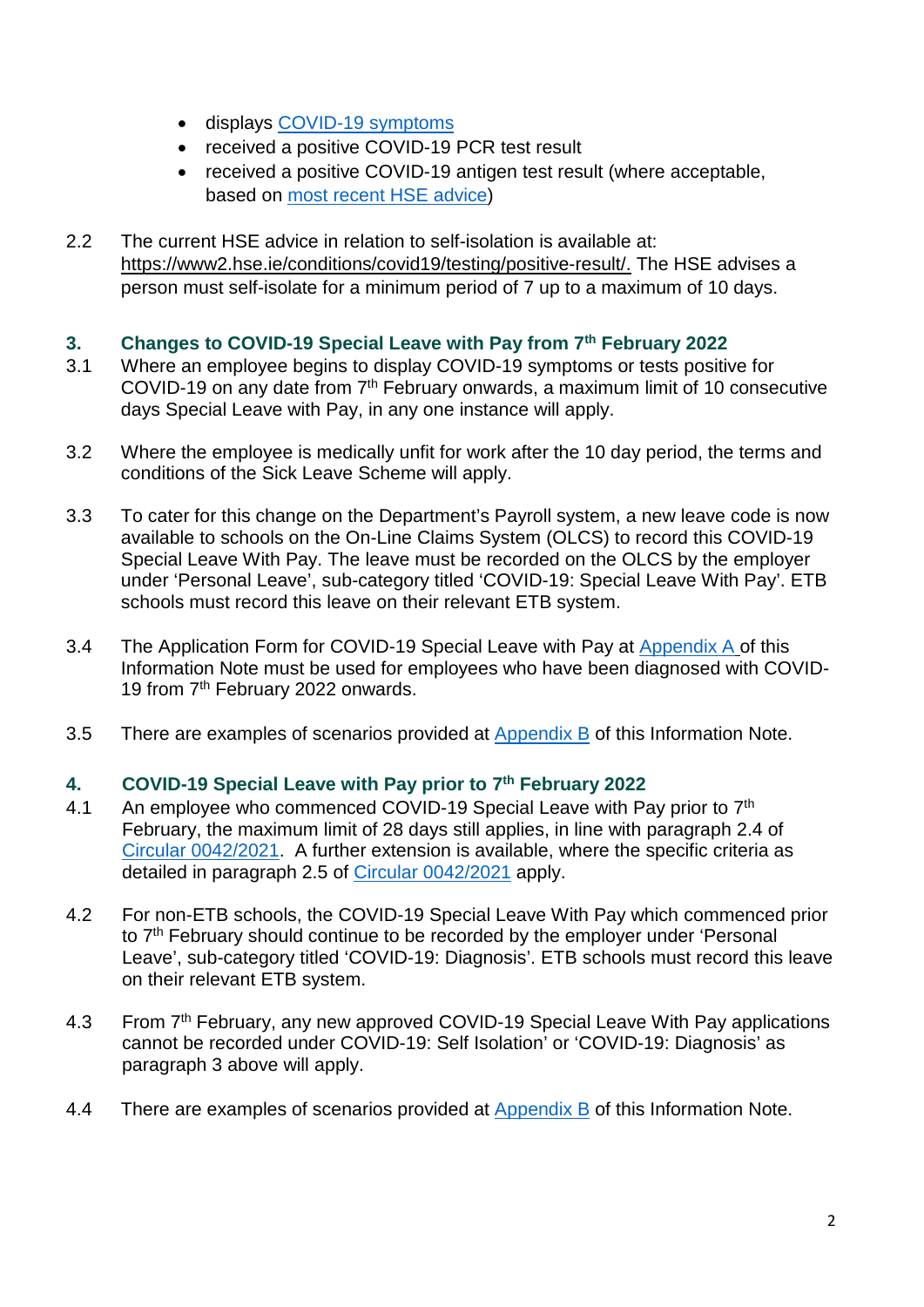- displays [COVID-19 symptoms](https://www2.hse.ie/conditions/covid19/symptoms/overview/)
- received a positive COVID-19 PCR test result
- received a positive COVID-19 antigen test result (where acceptable, based on [most recent HSE advice\)](https://www2.hse.ie/conditions/covid19/testing/covid-19-antigen-test-results/?gclid=EAIaIQobChMIjtbO4oS79QIVg-7tCh1sughnEAAYASAAEgLJ2_D_BwE&gclsrc=aw.ds)
- 2.2 The current HSE advice in relation to self-isolation is available at: [https://www2.hse.ie/conditions/covid19/testing/positive-result/.](https://www2.hse.ie/conditions/covid19/testing/positive-result/) The HSE advises a person must self-isolate for a minimum period of 7 up to a maximum of 10 days.

# **3. Changes to COVID-19 Special Leave with Pay from 7th February 2022**

- 3.1 Where an employee begins to display COVID-19 symptoms or tests positive for COVID-19 on any date from 7<sup>th</sup> February onwards, a maximum limit of 10 consecutive days Special Leave with Pay, in any one instance will apply.
- 3.2 Where the employee is medically unfit for work after the 10 day period, the terms and conditions of the Sick Leave Scheme will apply.
- 3.3 To cater for this change on the Department's Payroll system, a new leave code is now available to schools on the On-Line Claims System (OLCS) to record this COVID-19 Special Leave With Pay. The leave must be recorded on the OLCS by the employer under 'Personal Leave', sub-category titled 'COVID-19: Special Leave With Pay'. ETB schools must record this leave on their relevant ETB system.
- 3.4 The Application Form for COVID-19 Special Leave with Pay at Appendix A of this Information Note must be used for employees who have been diagnosed with COVID-19 from 7<sup>th</sup> February 2022 onwards.
- 3.5 There are examples of scenarios provided at [Appendix B](#page-5-0) of this Information Note.

# **4. COVID-19 Special Leave with Pay prior to 7th February 2022**

- 4.1 An employee who commenced COVID-19 Special Leave with Pay prior to 7<sup>th</sup> February, the maximum limit of 28 days still applies, in line with paragraph 2.4 of [Circular 0042/2021.](https://www.gov.ie/en/circular/b4832-coronavirus-covid-19-arrangements-for-teachers-and-special-needs-assistants-employed-in-recognised-primary-and-post-primary-schools/) A further extension is available, where the specific criteria as detailed in paragraph 2.5 of [Circular 0042/2021](https://www.gov.ie/en/circular/b4832-coronavirus-covid-19-arrangements-for-teachers-and-special-needs-assistants-employed-in-recognised-primary-and-post-primary-schools/) apply.
- 4.2 For non-ETB schools, the COVID-19 Special Leave With Pay which commenced prior to 7<sup>th</sup> February should continue to be recorded by the employer under 'Personal Leave', sub-category titled 'COVID-19: Diagnosis'. ETB schools must record this leave on their relevant ETB system.
- 4.3 From 7<sup>th</sup> February, any new approved COVID-19 Special Leave With Pay applications cannot be recorded under COVID-19: Self Isolation' or 'COVID-19: Diagnosis' as paragraph 3 above will apply.
- 4.4 There are examples of scenarios provided at [Appendix B](#page-5-0) of this Information Note.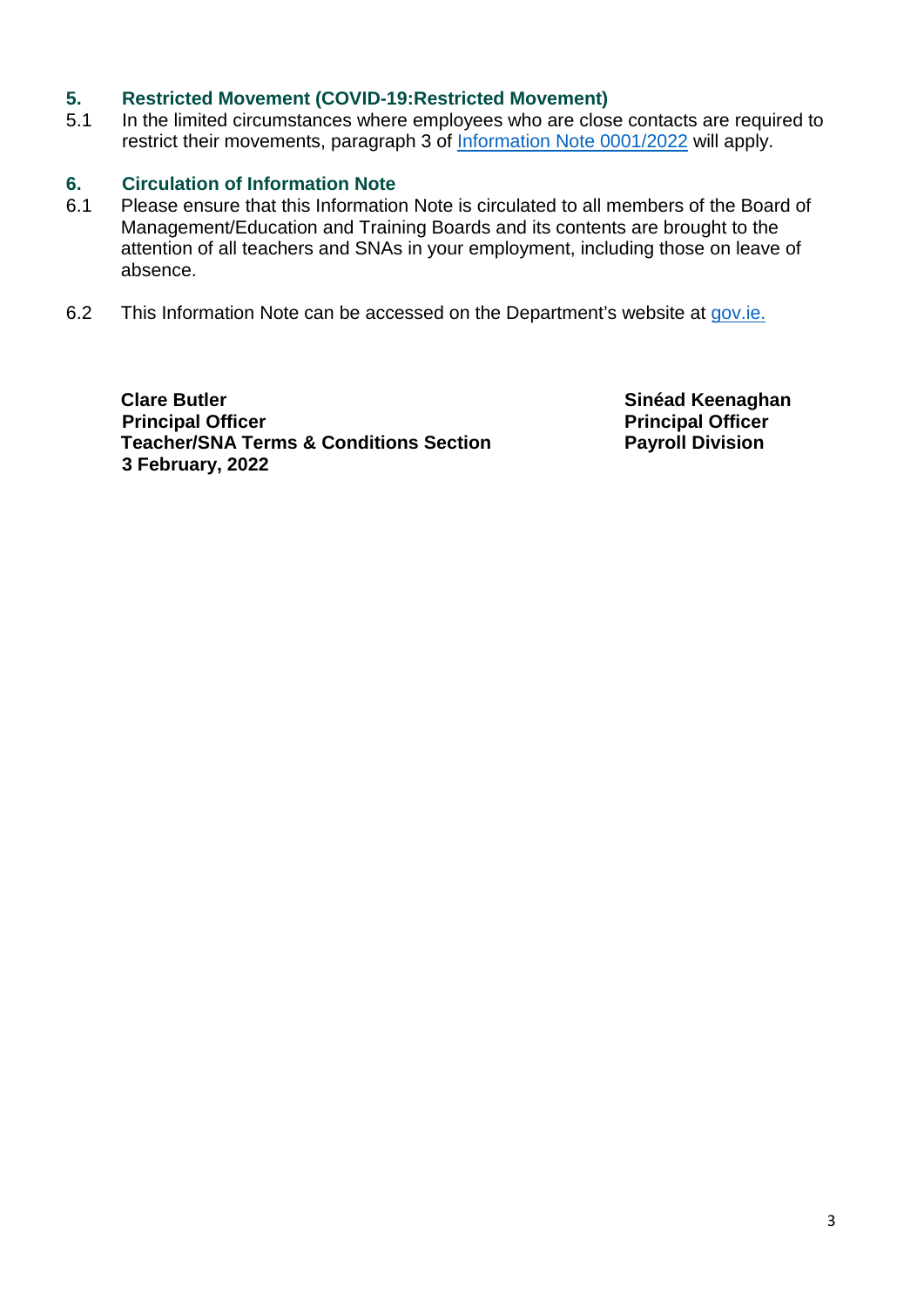### **5. Restricted Movement (COVID-19:Restricted Movement)**

5.1 In the limited circumstances where employees who are close contacts are required to restrict their movements, paragraph 3 of [Information Note 0001/2022](https://www.gov.ie/en/publication/58bb6-information-note-tc-00012022-covid-19-updated-working-and-leave-arrangements-from-january-2022-for-teachers-and-special-needs-assistants-employed-in-recognised-primary-and-post-primary-schools/) will apply.

### **6. Circulation of Information Note**

- 6.1 Please ensure that this Information Note is circulated to all members of the Board of Management/Education and Training Boards and its contents are brought to the attention of all teachers and SNAs in your employment, including those on leave of absence.
- 6.2 This Information Note can be accessed on the Department's website at [gov.ie.](https://www.gov.ie/en/collection/c9681-covid-19-index-of-all-publications-issued-by-department-of-education/)

**Clare Butler Sinéad Keenaghan** *Sinéad* **Keenaghan Principal Officer Principal Officer Principal Officer Principal Officer Principal Officer Principal Officer Teacher/SNA Terms & Conditions Section Fayroll Division 3 February, 2022**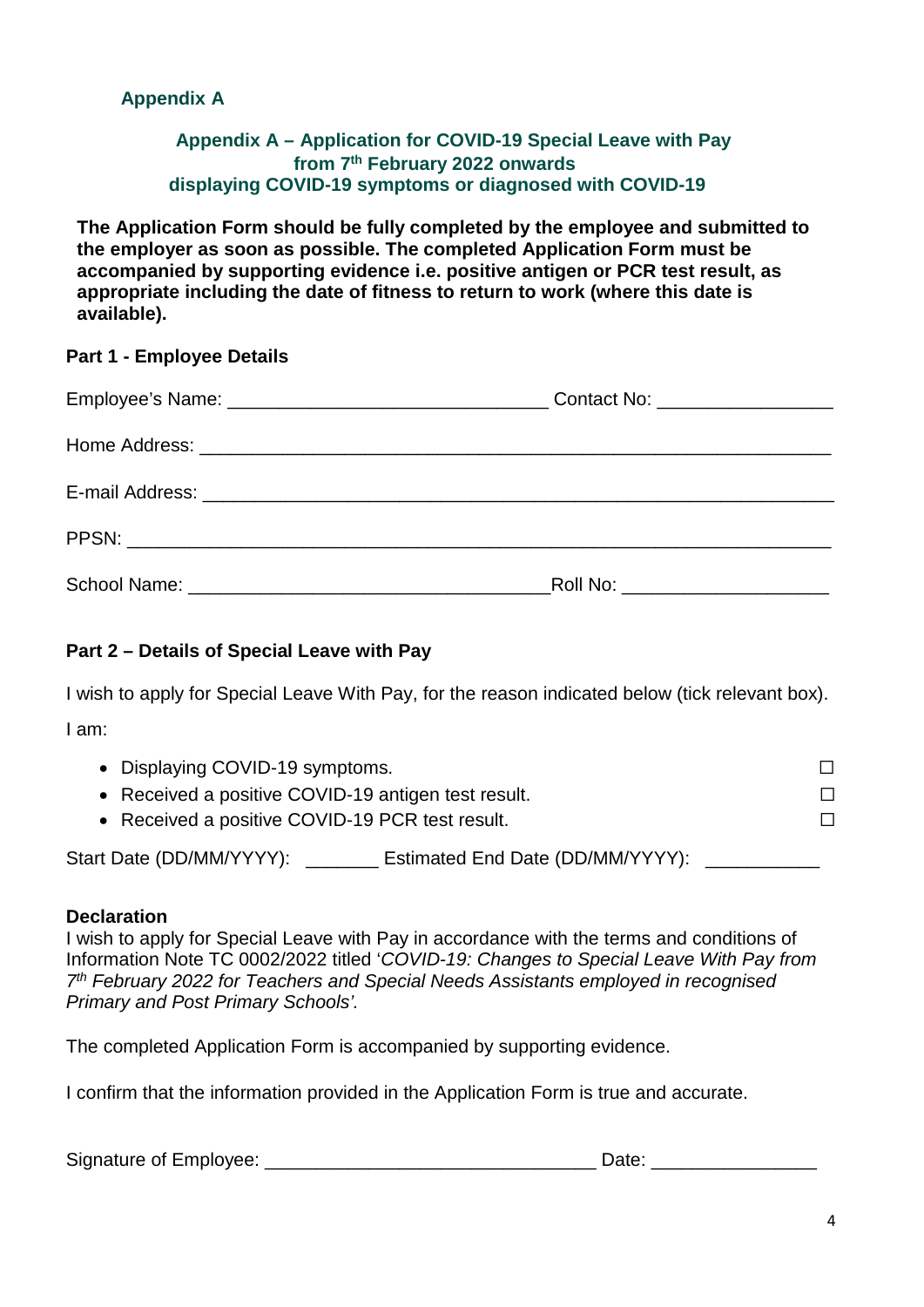# **Appendix A**

### **Appendix A – Application for COVID-19 Special Leave with Pay from 7th February 2022 onwards displaying COVID-19 symptoms or diagnosed with COVID-19**

**The Application Form should be fully completed by the employee and submitted to the employer as soon as possible. The completed Application Form must be accompanied by supporting evidence i.e. positive antigen or PCR test result, as appropriate including the date of fitness to return to work (where this date is available).** 

#### **Part 1 - Employee Details**

| Roll No: _______________________ |  |
|----------------------------------|--|

# **Part 2 – Details of Special Leave with Pay**

I wish to apply for Special Leave With Pay, for the reason indicated below (tick relevant box). I am:

| • Displaying COVID-19 symptoms.                              |  |
|--------------------------------------------------------------|--|
| • Received a positive COVID-19 antigen test result.          |  |
| • Received a positive COVID-19 PCR test result.              |  |
| Estimated End Date (DD/MM/YYYY):<br>Start Date (DD/MM/YYYY): |  |

#### **Declaration**

I wish to apply for Special Leave with Pay in accordance with the terms and conditions of Information Note TC 0002/2022 titled '*COVID-19: Changes to Special Leave With Pay from 7 th February 2022 for Teachers and Special Needs Assistants employed in recognised Primary and Post Primary Schools'.* 

The completed Application Form is accompanied by supporting evidence.

I confirm that the information provided in the Application Form is true and accurate.

| Signature of Employee: |  | Date. |
|------------------------|--|-------|
|------------------------|--|-------|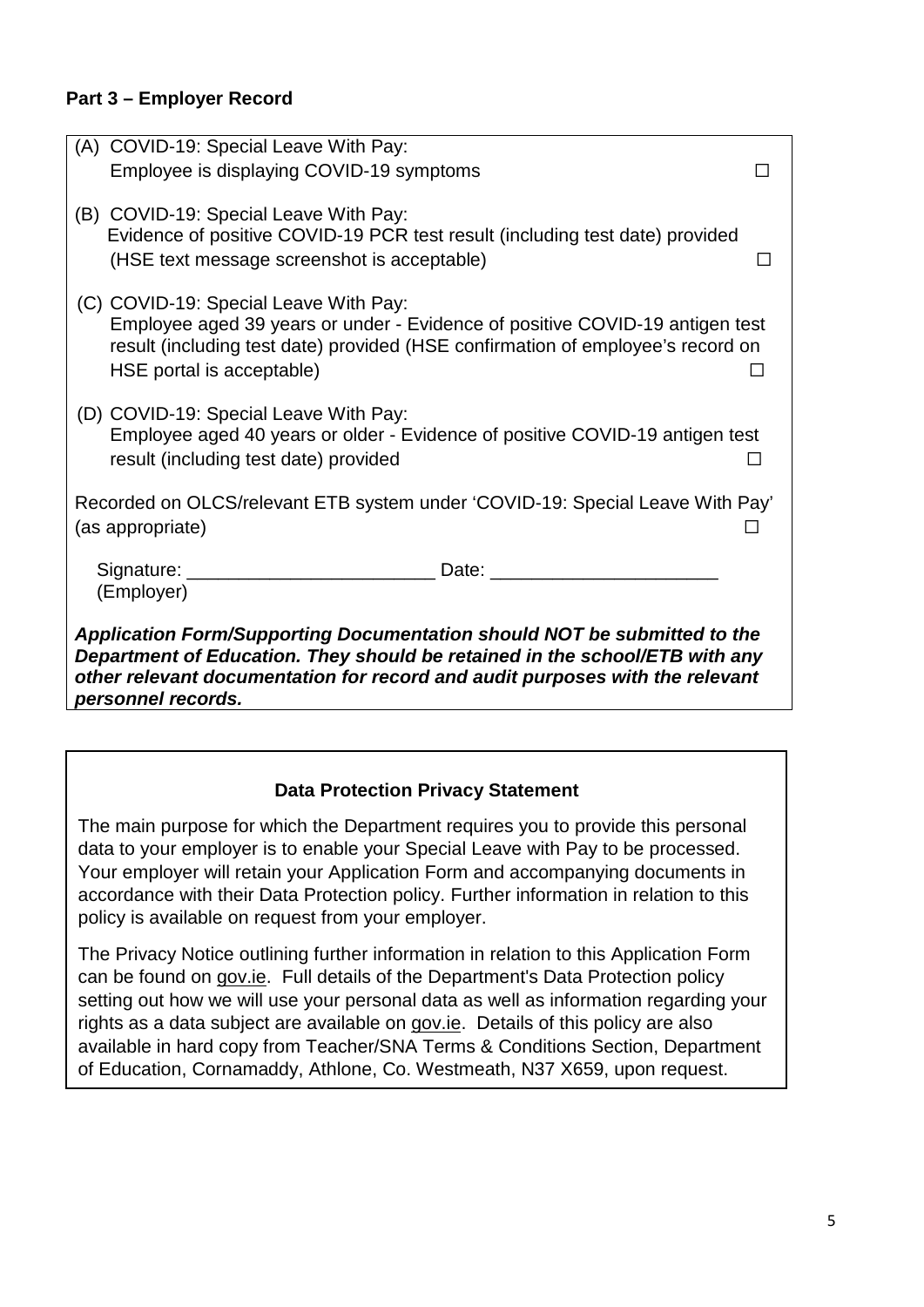# **Part 3 – Employer Record**

| (A) COVID-19: Special Leave With Pay:                                                                                                                                                                                                                         |                                                                                                                                                                                                                                |
|---------------------------------------------------------------------------------------------------------------------------------------------------------------------------------------------------------------------------------------------------------------|--------------------------------------------------------------------------------------------------------------------------------------------------------------------------------------------------------------------------------|
| Employee is displaying COVID-19 symptoms                                                                                                                                                                                                                      |                                                                                                                                                                                                                                |
| (B) COVID-19: Special Leave With Pay:<br>Evidence of positive COVID-19 PCR test result (including test date) provided<br>(HSE text message screenshot is acceptable)                                                                                          |                                                                                                                                                                                                                                |
| (C) COVID-19: Special Leave With Pay:<br>HSE portal is acceptable)                                                                                                                                                                                            | Employee aged 39 years or under - Evidence of positive COVID-19 antigen test<br>result (including test date) provided (HSE confirmation of employee's record on                                                                |
| (D) COVID-19: Special Leave With Pay:<br>result (including test date) provided                                                                                                                                                                                | Employee aged 40 years or older - Evidence of positive COVID-19 antigen test                                                                                                                                                   |
| Recorded on OLCS/relevant ETB system under 'COVID-19: Special Leave With Pay'<br>(as appropriate)                                                                                                                                                             |                                                                                                                                                                                                                                |
| Signature: _____<br>(Employer)                                                                                                                                                                                                                                | Date: the contract of the contract of the contract of the contract of the contract of the contract of the contract of the contract of the contract of the contract of the contract of the contract of the contract of the cont |
| Application Form/Supporting Documentation should NOT be submitted to the<br>Department of Education. They should be retained in the school/ETB with any<br>other relevant documentation for record and audit purposes with the relevant<br>personnel records. |                                                                                                                                                                                                                                |

# **Data Protection Privacy Statement**

The main purpose for which the Department requires you to provide this personal data to your employer is to enable your Special Leave with Pay to be processed. Your employer will retain your Application Form and accompanying documents in accordance with their Data Protection policy. Further information in relation to this policy is available on request from your employer.

The Privacy Notice outlining further information in relation to this Application Form can be found on [gov.ie.](https://www.gov.ie/en/organisation-information/data-protection/?referrer=http://www.education.ie/en/The-Department/Data-Protection/gdpr/gdpr.html#transparency) Full details of the Department's Data Protection policy setting out how we will use your personal data as well as information regarding your rights as a data subject are available on [gov.ie.](https://www.gov.ie/en/organisation-information/data-protection/?referrer=http://www.education.ie/en/The-Department/Data-Protection/gdpr/gdpr.html) Details of this policy are also available in hard copy from Teacher/SNA Terms & Conditions Section, Department of Education, Cornamaddy, Athlone, Co. Westmeath, N37 X659, upon request.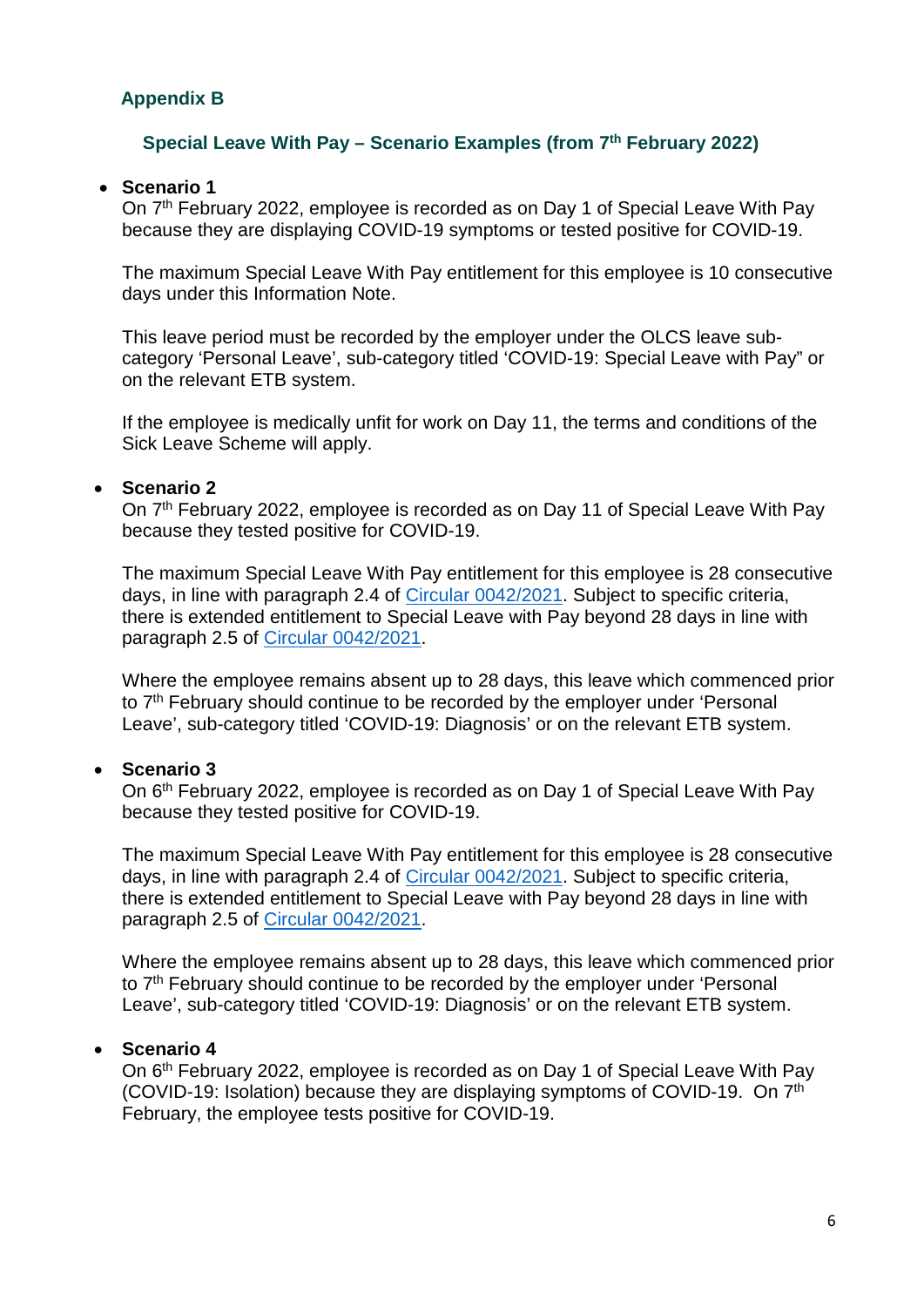# <span id="page-5-0"></span>**Appendix B**

#### **Special Leave With Pay – Scenario Examples (from 7th February 2022)**

#### **Scenario 1**

On 7th February 2022, employee is recorded as on Day 1 of Special Leave With Pay because they are displaying COVID-19 symptoms or tested positive for COVID-19.

The maximum Special Leave With Pay entitlement for this employee is 10 consecutive days under this Information Note.

This leave period must be recorded by the employer under the OLCS leave subcategory 'Personal Leave', sub-category titled 'COVID-19: Special Leave with Pay" or on the relevant ETB system.

If the employee is medically unfit for work on Day 11, the terms and conditions of the Sick Leave Scheme will apply.

#### **Scenario 2**

On 7<sup>th</sup> February 2022, employee is recorded as on Day 11 of Special Leave With Pay because they tested positive for COVID-19.

The maximum Special Leave With Pay entitlement for this employee is 28 consecutive days, in line with paragraph 2.4 of [Circular 0042/2021.](https://www.gov.ie/en/circular/b4832-coronavirus-covid-19-arrangements-for-teachers-and-special-needs-assistants-employed-in-recognised-primary-and-post-primary-schools/) Subject to specific criteria, there is extended entitlement to Special Leave with Pay beyond 28 days in line with paragraph 2.5 of [Circular 0042/2021.](https://www.gov.ie/en/circular/b4832-coronavirus-covid-19-arrangements-for-teachers-and-special-needs-assistants-employed-in-recognised-primary-and-post-primary-schools/)

Where the employee remains absent up to 28 days, this leave which commenced prior to 7<sup>th</sup> February should continue to be recorded by the employer under 'Personal Leave', sub-category titled 'COVID-19: Diagnosis' or on the relevant ETB system.

#### **Scenario 3**

On 6th February 2022, employee is recorded as on Day 1 of Special Leave With Pay because they tested positive for COVID-19.

The maximum Special Leave With Pay entitlement for this employee is 28 consecutive days, in line with paragraph 2.4 of [Circular 0042/2021.](https://www.gov.ie/en/circular/b4832-coronavirus-covid-19-arrangements-for-teachers-and-special-needs-assistants-employed-in-recognised-primary-and-post-primary-schools/) Subject to specific criteria, there is extended entitlement to Special Leave with Pay beyond 28 days in line with paragraph 2.5 of [Circular 0042/2021.](https://www.gov.ie/en/circular/b4832-coronavirus-covid-19-arrangements-for-teachers-and-special-needs-assistants-employed-in-recognised-primary-and-post-primary-schools/)

Where the employee remains absent up to 28 days, this leave which commenced prior to 7<sup>th</sup> February should continue to be recorded by the employer under 'Personal Leave', sub-category titled 'COVID-19: Diagnosis' or on the relevant ETB system.

#### **Scenario 4**

On 6th February 2022, employee is recorded as on Day 1 of Special Leave With Pay (COVID-19: Isolation) because they are displaying symptoms of COVID-19. On 7th February, the employee tests positive for COVID-19.